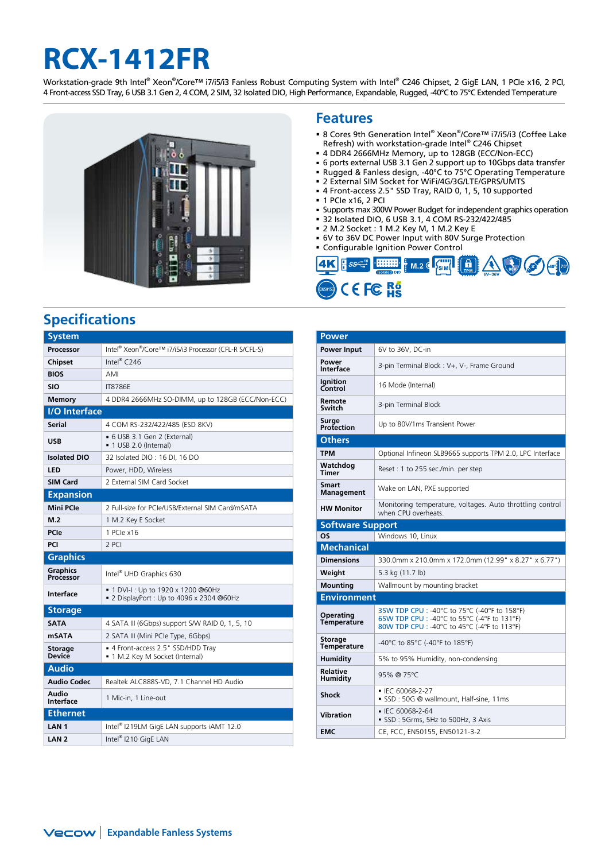# **RCX-1412FR**

Workstation-grade 9th Intel® Xeon®/Core™ i7/i5/i3 Fanless Robust Computing System with Intel® C246 Chipset, 2 GigE LAN, 1 PCIe x16, 2 PCI, 4 Front-access SSD Tray, 6 USB 3.1 Gen 2, 4 COM, 2 SIM, 32 Isolated DIO, High Performance, Expandable, Rugged, -40°C to 75°C Extended Temperature



## **Specifications**

| <b>System</b>                   |                                                                                  |  |  |  |  |  |
|---------------------------------|----------------------------------------------------------------------------------|--|--|--|--|--|
| Processor                       | Intel® Xeon®/Core™ i7/i5/i3 Processor (CFL-R S/CFL-S)                            |  |  |  |  |  |
| <b>Chipset</b>                  | Intel® $C246$                                                                    |  |  |  |  |  |
| <b>BIOS</b>                     | AMI                                                                              |  |  |  |  |  |
| SIO                             | <b>IT8786F</b>                                                                   |  |  |  |  |  |
| <b>Memory</b>                   | 4 DDR4 2666MHz SO-DIMM, up to 128GB (ECC/Non-ECC)                                |  |  |  |  |  |
| <b>I/O</b> Interface            |                                                                                  |  |  |  |  |  |
| <b>Serial</b>                   | 4 COM RS-232/422/485 (ESD 8KV)                                                   |  |  |  |  |  |
| <b>USB</b>                      | • 6 USB 3.1 Gen 2 (External)<br>■ 1 USB 2.0 (Internal)                           |  |  |  |  |  |
| <b>Isolated DIO</b>             | 32 Isolated DIO: 16 DI, 16 DO                                                    |  |  |  |  |  |
| LED                             | Power, HDD, Wireless                                                             |  |  |  |  |  |
| <b>SIM Card</b>                 | 2 External SIM Card Socket                                                       |  |  |  |  |  |
| <b>Expansion</b>                |                                                                                  |  |  |  |  |  |
| <b>Mini PCle</b>                | 2 Eull-size for PCIe/USB/External SIM Card/mSATA                                 |  |  |  |  |  |
| M.2                             | 1 M.2 Key E Socket                                                               |  |  |  |  |  |
| <b>PCle</b>                     | 1 PCIe x16                                                                       |  |  |  |  |  |
| PCI                             | 2 PCI                                                                            |  |  |  |  |  |
| <b>Graphics</b>                 |                                                                                  |  |  |  |  |  |
| Graphics<br>Processor           | Intel <sup>®</sup> UHD Graphics 630                                              |  |  |  |  |  |
| <b>Interface</b>                | ■ 1 DVI-I : Up to 1920 x 1200 @60Hz<br>■ 2 DisplayPort : Up to 4096 x 2304 @60Hz |  |  |  |  |  |
| <b>Storage</b>                  |                                                                                  |  |  |  |  |  |
| <b>SATA</b>                     | 4 SATA III (6Gbps) support S/W RAID 0, 1, 5, 10                                  |  |  |  |  |  |
| <b>mSATA</b>                    | 2 SATA III (Mini PCIe Type, 6Gbps)                                               |  |  |  |  |  |
| <b>Storage</b><br><b>Device</b> | ■ 4 Front-access 2.5" SSD/HDD Tray<br>• 1 M.2 Key M Socket (Internal)            |  |  |  |  |  |
| <b>Audio</b>                    |                                                                                  |  |  |  |  |  |
| Audio Codec                     | Realtek ALC888S-VD, 7.1 Channel HD Audio                                         |  |  |  |  |  |
| Audio<br><b>Interface</b>       | 1 Mic-in, 1 Line-out                                                             |  |  |  |  |  |
| <b>Ethernet</b>                 |                                                                                  |  |  |  |  |  |
| LAN <sub>1</sub>                | Intel <sup>®</sup> I219LM GigE LAN supports iAMT 12.0                            |  |  |  |  |  |
| LAN <sub>2</sub>                | Intel® I210 GigE LAN                                                             |  |  |  |  |  |

### **Features**

- 8 Cores 9th Generation Intel® Xeon®/Core™ i7/i5/i3 (Coffee Lake Refresh) with workstation-grade Intel® C246 Chipset
- 4 DDR4 2666MHz Memory, up to 128GB (ECC/Non-ECC)
- 6 ports external USB 3.1 Gen 2 support up to 10Gbps data transfer
- Rugged & Fanless design, -40°C to 75°C Operating Temperature
- 2 External SIM Socket for WiFi/4G/3G/LTE/GPRS/UMTS 4 Front-access 2.5" SSD Tray, RAID 0, 1, 5, 10 supported
- 1 PCIe x16, 2 PCI
- Supports max 300W Power Budget for independent graphics operation
- 32 Isolated DIO, 6 USB 3.1, 4 COM RS-232/422/485
- 2 M.2 Socket : 1 M.2 Key M, 1 M.2 Key E
- 6V to 36V DC Power Input with 80V Surge Protection
- Configurable Ignition Power Control



| <b>Power</b>                           |                                                                                                                                            |  |  |  |  |
|----------------------------------------|--------------------------------------------------------------------------------------------------------------------------------------------|--|--|--|--|
| <b>Power Input</b>                     | 6V to 36V, DC-in                                                                                                                           |  |  |  |  |
| Power<br>Interface                     | 3-pin Terminal Block: V+, V-, Frame Ground                                                                                                 |  |  |  |  |
| <b>Ignition</b><br>Control             | 16 Mode (Internal)                                                                                                                         |  |  |  |  |
| Remote<br>Switch                       | 3-pin Terminal Block                                                                                                                       |  |  |  |  |
| Surge<br>Protection                    | Up to 80V/1ms Transient Power                                                                                                              |  |  |  |  |
| <b>Others</b>                          |                                                                                                                                            |  |  |  |  |
| <b>TPM</b>                             | Optional Infineon SLB9665 supports TPM 2.0, LPC Interface                                                                                  |  |  |  |  |
| Watchdog<br><b>Timer</b>               | Reset: 1 to 255 sec./min. per step                                                                                                         |  |  |  |  |
| <b>Smart</b><br><b>Management</b>      | Wake on LAN, PXE supported                                                                                                                 |  |  |  |  |
| <b>HW Monitor</b>                      | Monitoring temperature, voltages. Auto throttling control<br>when CPU overheats.                                                           |  |  |  |  |
| <b>Software Support</b>                |                                                                                                                                            |  |  |  |  |
| <b>OS</b>                              | Windows 10, Linux                                                                                                                          |  |  |  |  |
| <b>Mechanical</b>                      |                                                                                                                                            |  |  |  |  |
| <b>Dimensions</b>                      | 330.0mm x 210.0mm x 172.0mm (12.99" x 8.27" x 6.77")                                                                                       |  |  |  |  |
| Weight                                 | 5.3 kg (11.7 lb)                                                                                                                           |  |  |  |  |
| <b>Mounting</b>                        | Wallmount by mounting bracket                                                                                                              |  |  |  |  |
| <b>Environment</b>                     |                                                                                                                                            |  |  |  |  |
| <b>Operating</b><br><b>Temperature</b> | 35W TDP CPU : -40°C to 75°C (-40°F to 158°F)<br>65W TDP CPU : -40°C to 55°C (-4°F to 131°F)<br>80W TDP CPU : -40°C to 45°C (-4°F to 113°F) |  |  |  |  |
| <b>Storage</b><br><b>Temperature</b>   | -40°C to 85°C (-40°F to 185°F)                                                                                                             |  |  |  |  |
| Humidity                               | 5% to 95% Humidity, non-condensing                                                                                                         |  |  |  |  |
| <b>Relative</b><br><b>Humidity</b>     | 95% @ 75°C                                                                                                                                 |  |  |  |  |
| <b>Shock</b>                           | • IEC 60068-2-27<br>SSD: 50G @ wallmount, Half-sine, 11ms                                                                                  |  |  |  |  |
| <b>Vibration</b>                       | ■ IFC 60068-2-64<br>SSD: 5Grms, 5Hz to 500Hz, 3 Axis                                                                                       |  |  |  |  |
| <b>EMC</b>                             | CE, FCC, EN50155, EN50121-3-2                                                                                                              |  |  |  |  |